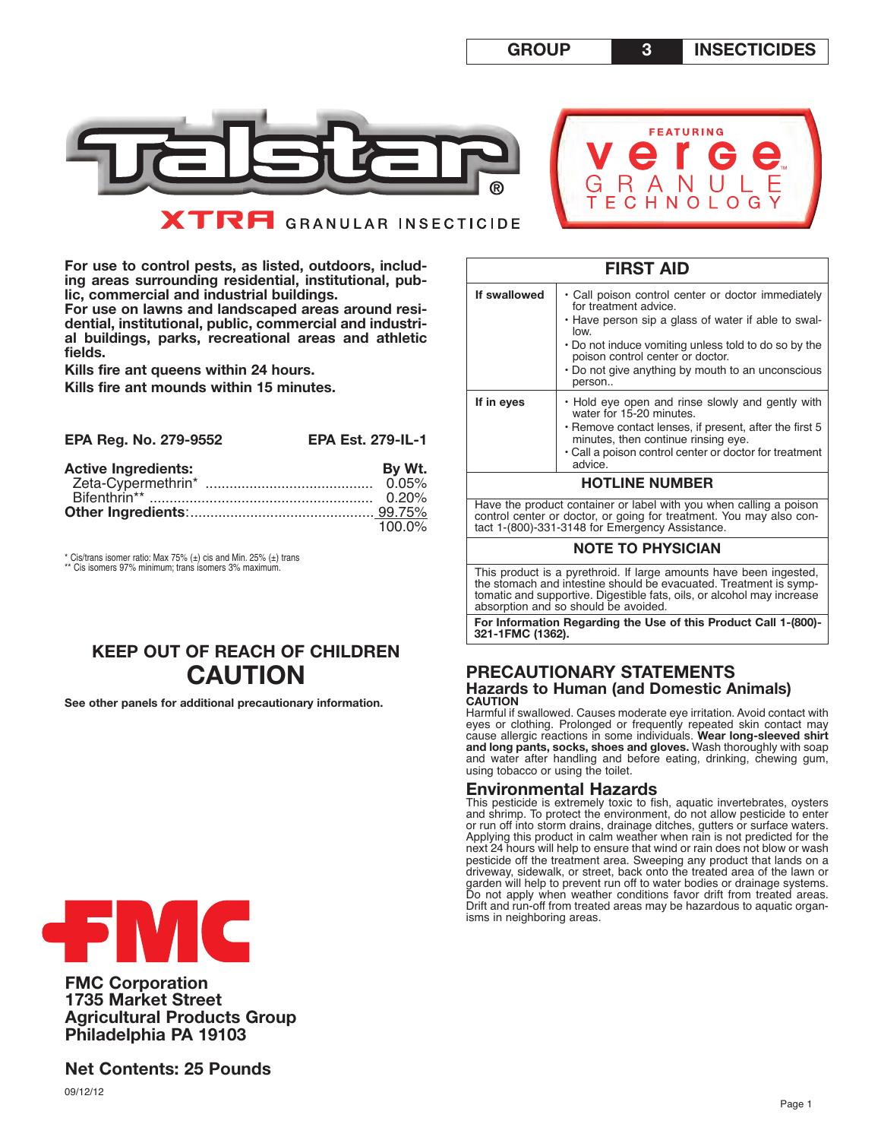



**For use to control pests, as listed, outdoors, including areas surrounding residential, institutional, public, commercial and industrial buildings.**

**For use on lawns and landscaped areas around residential, institutional, public, commercial and industrial buildings, parks, recreational areas and athletic fields.** 

**Kills fire ant queens within 24 hours.**

**Kills fire ant mounds within 15 minutes.**

| EPA Reg. No. 279-9552      | <b>EPA Est. 279-IL-1</b> |
|----------------------------|--------------------------|
| <b>Active Ingredients:</b> | By Wt.                   |
|                            | 0.05%                    |
|                            |                          |
|                            |                          |
|                            | 100.0%                   |

 $*$  Cis/trans isomer ratio: Max 75%  $(\pm)$  cis and Min. 25%  $(\pm)$  trans Cis isomers 97% minimum; trans isomers 3% maximum.

# **KEEP OUT OF REACH OF CHILDREN CAUTION**

**See other panels for additional precautionary information.** 

| .            |                                                                                                                                                                                                                                                                                                       |  |  |  |  |  |
|--------------|-------------------------------------------------------------------------------------------------------------------------------------------------------------------------------------------------------------------------------------------------------------------------------------------------------|--|--|--|--|--|
| If swallowed | • Call poison control center or doctor immediately<br>for treatment advice.<br>• Have person sip a glass of water if able to swal-<br>low.<br>• Do not induce vomiting unless told to do so by the<br>poison control center or doctor.<br>• Do not give anything by mouth to an unconscious<br>person |  |  |  |  |  |
| If in eyes   | • Hold eye open and rinse slowly and gently with<br>water for 15-20 minutes.<br>• Remove contact lenses, if present, after the first 5<br>minutes, then continue rinsing eye.<br>• Call a poison control center or doctor for treatment<br>advice.                                                    |  |  |  |  |  |
|              | <b>HOTLINE NUMBER</b>                                                                                                                                                                                                                                                                                 |  |  |  |  |  |
|              | Have the product container or label with you when calling a poison<br>control center or doctor, or going for treatment. You may also con-<br>tact 1-(800)-331-3148 for Emergency Assistance.                                                                                                          |  |  |  |  |  |
|              | <b>NOTE TO PHYSICIAN</b>                                                                                                                                                                                                                                                                              |  |  |  |  |  |
|              | This product is a pyrethroid. If large amounts have been ingested,<br>the stomach and intestine should be evacuated. Treatment is symp-                                                                                                                                                               |  |  |  |  |  |

**FIRST AID**

tomatic and supportive. Digestible fats, oils, or alcohol may increase absorption and so should be avoided.

**For Information Regarding the Use of this Product Call 1-(800)- 321-1FMC (1362).**

## **PRECAUTIONARY STATEMENTS Hazards to Human (and Domestic Animals) CAUTION**

Harmful if swallowed. Causes moderate eye irritation. Avoid contact with eyes or clothing. Prolonged or frequently repeated skin contact may cause allergic reactions in some individuals. **Wear long-sleeved shirt and long pants, socks, shoes and gloves.** Wash thoroughly with soap and water after handling and before eating, drinking, chewing gum, using tobacco or using the toilet.

## **Environmental Hazards**

This pesticide is extremely toxic to fish, aquatic invertebrates, oysters and shrimp. To protect the environment, do not allow pesticide to enter or run off into storm drains, drainage ditches, gutters or surface waters. Applying this product in calm weather when rain is not predicted for the next 24 hours will help to ensure that wind or rain does not blow or wash pesticide off the treatment area. Sweeping any product that lands on a driveway, sidewalk, or street, back onto the treated area of the lawn or garden will help to prevent run off to water bodies or drainage systems. Do not apply when weather conditions favor drift from treated areas. Drift and run-off from treated areas may be hazardous to aquatic organisms in neighboring areas.



**FMC Corporation 1735 Market Street Agricultural Products Group Philadelphia PA 19103** 

**Net Contents: 25 Pounds**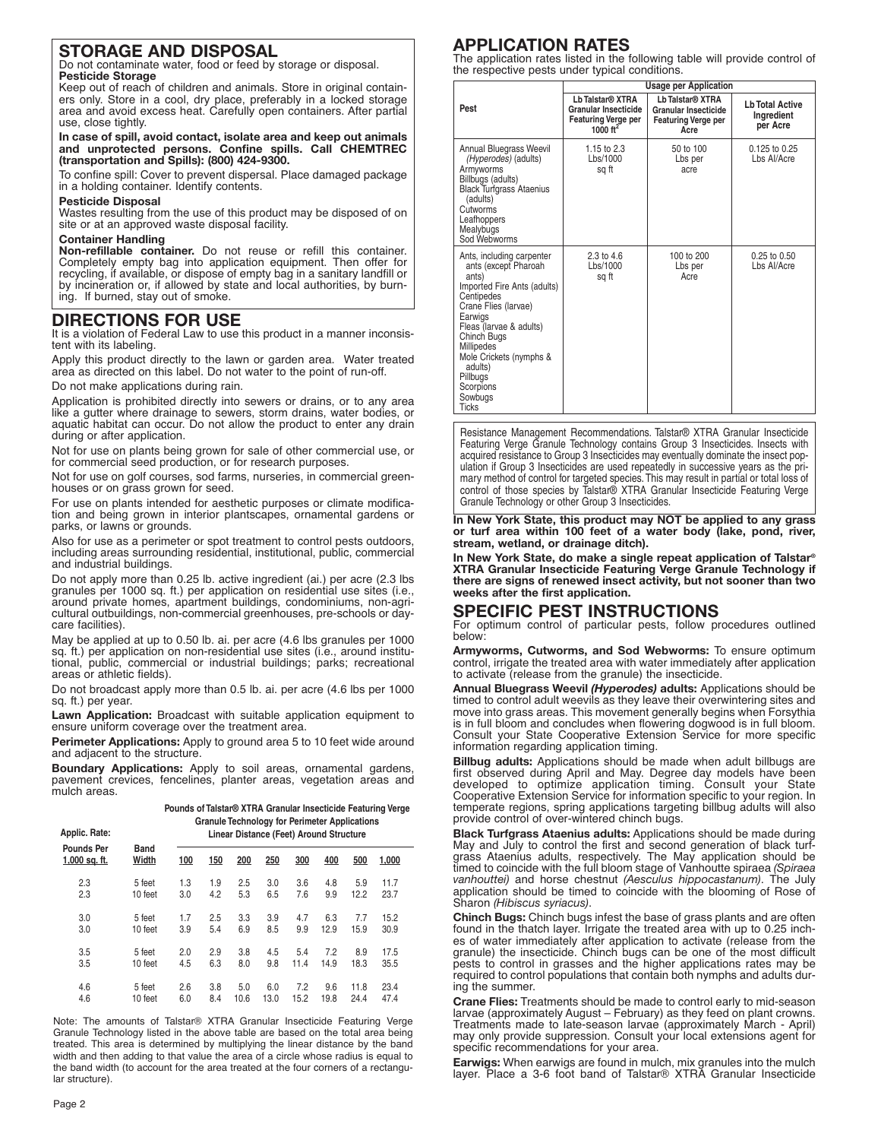# **STORAGE AND DISPOSAL**

Do not contaminate water, food or feed by storage or disposal. **Pesticide Storage**

Keep out of reach of children and animals. Store in original containers only. Store in a cool, dry place, preferably in a locked storage area and avoid excess heat. Carefully open containers. After partial use, close tightly.

**In case of spill, avoid contact, isolate area and keep out animals and unprotected persons. Confine spills. Call CHEMTREC (transportation and Spills): (800) 424-9300.**

To confine spill: Cover to prevent dispersal. Place damaged package in a holding container. Identify contents.

#### **Pesticide Disposal**

Wastes resulting from the use of this product may be disposed of on site or at an approved waste disposal facility.

### **Container Handling**

**Non-refillable container.** Do not reuse or refill this container. Completely empty bag into application equipment. Then offer for recycling, if available, or dispose of empty bag in a sanitary landfill or by incineration or, if allowed by state and local authorities, by burning. If burned, stay out of smoke.

## **DIRECTIONS FOR USE**

It is a violation of Federal Law to use this product in a manner inconsistent with its labeling.

Apply this product directly to the lawn or garden area. Water treated area as directed on this label. Do not water to the point of run-off.

Do not make applications during rain.

Application is prohibited directly into sewers or drains, or to any area like a gutter where drainage to sewers, storm drains, water bodies, or aquatic habitat can occur. Do not allow the product to enter any drain during or after application.

Not for use on plants being grown for sale of other commercial use, or for commercial seed production, or for research purposes.

Not for use on golf courses, sod farms, nurseries, in commercial greenhouses or on grass grown for seed.

For use on plants intended for aesthetic purposes or climate modification and being grown in interior plantscapes, ornamental gardens or parks, or lawns or grounds.

Also for use as a perimeter or spot treatment to control pests outdoors, including areas surrounding residential, institutional, public, commercial and industrial buildings.

Do not apply more than 0.25 lb. active ingredient (ai.) per acre (2.3 lbs granules per 1000 sq. ft.) per application on residential use sites (i.e., around private homes, apartment buildings, condominiums, non-agricultural outbuildings, non-commercial greenhouses, pre-schools or daycare facilities).

May be applied at up to 0.50 lb. ai. per acre (4.6 lbs granules per 1000 sq. ft.) per application on non-residential use sites (i.e., around institutional, public, commercial or industrial buildings; parks; recreational areas or athletic fields).

Do not broadcast apply more than 0.5 lb. ai. per acre (4.6 lbs per 1000 sq. ft.) per year.

**Lawn Application:** Broadcast with suitable application equipment to ensure uniform coverage over the treatment area.

Perimeter Applications: Apply to ground area 5 to 10 feet wide around and adjacent to the structure.

**Boundary Applications:** Apply to soil areas, ornamental gardens, pavement crevices, fencelines, planter areas, vegetation areas and mulch areas.

| Applic. Rate:                        |               |     | Pounds of Talstar® XTRA Granular Insecticide Featuring Verge<br><b>Granule Technology for Perimeter Applications</b><br>Linear Distance (Feet) Around Structure |      |      |      |      |      |       |  |
|--------------------------------------|---------------|-----|-----------------------------------------------------------------------------------------------------------------------------------------------------------------|------|------|------|------|------|-------|--|
| <b>Pounds Per</b><br>$1,000$ sq. ft. | Band<br>Width | 100 | 150                                                                                                                                                             | 200  | 250  | 300  | 400  | 500  | 1,000 |  |
| 2.3                                  | 5 feet        | 1.3 | 1.9                                                                                                                                                             | 2.5  | 3.0  | 3.6  | 4.8  | 5.9  | 11.7  |  |
| 2.3                                  | 10 feet       | 3.0 | 4.2                                                                                                                                                             | 5.3  | 6.5  | 7.6  | 9.9  | 12.2 | 23.7  |  |
| 3.0                                  | 5 feet        | 1.7 | 2.5                                                                                                                                                             | 3.3  | 3.9  | 4.7  | 6.3  | 7.7  | 15.2  |  |
| 3.0                                  | 10 feet       | 3.9 | 5.4                                                                                                                                                             | 6.9  | 8.5  | 9.9  | 12.9 | 15.9 | 30.9  |  |
| 3.5                                  | 5 feet        | 2.0 | 2.9                                                                                                                                                             | 3.8  | 4.5  | 5.4  | 7.2  | 8.9  | 17.5  |  |
| 3.5                                  | 10 feet       | 4.5 | 6.3                                                                                                                                                             | 8.0  | 9.8  | 11.4 | 14.9 | 18.3 | 35.5  |  |
| 4.6                                  | 5 feet        | 2.6 | 3.8                                                                                                                                                             | 5.0  | 6.0  | 7.2  | 9.6  | 11.8 | 23.4  |  |
| 4.6                                  | 10 feet       | 6.0 | 8.4                                                                                                                                                             | 10.6 | 13.0 | 15.2 | 19.8 | 24.4 | 47.4  |  |

Note: The amounts of Talstar® XTRA Granular Insecticide Featuring Verge Granule Technology listed in the above table are based on the total area being treated. This area is determined by multiplying the linear distance by the band width and then adding to that value the area of a circle whose radius is equal to the band width (to account for the area treated at the four corners of a rectangular structure).

# **APPLICATION RATES**

The application rates listed in the following table will provide control of the respective pests under typical conditions.

|                                                                                                                                                                                                                                                                                                     | <b>Usage per Application</b>                                                                     |                                                                                                   |                                                  |  |  |  |  |
|-----------------------------------------------------------------------------------------------------------------------------------------------------------------------------------------------------------------------------------------------------------------------------------------------------|--------------------------------------------------------------------------------------------------|---------------------------------------------------------------------------------------------------|--------------------------------------------------|--|--|--|--|
| Pest                                                                                                                                                                                                                                                                                                | Lb Talstar <sup>®</sup> XTRA<br>Granular Insecticide<br><b>Featuring Verge per</b><br>1000 $ft2$ | Lb Talstar <sup>®</sup> XTRA<br><b>Granular Insecticide</b><br><b>Featuring Verge per</b><br>Acre | <b>Lb Total Active</b><br>Ingredient<br>per Acre |  |  |  |  |
| Annual Bluegrass Weevil<br>(Hyperodes) (adults)<br>Armyworms<br>Billbugs (adults)<br><b>Black Turfgrass Ataenius</b><br>(adults)<br>Cutworms<br>Leafhoppers<br>Mealybugs<br>Sod Webworms                                                                                                            | 1.15 to 2.3<br>Lbs/1000<br>sg ft                                                                 | 50 to 100<br>Lbs per<br>acre                                                                      | $0.125$ to $0.25$<br>Lbs Al/Acre                 |  |  |  |  |
| Ants, including carpenter<br>ants (except Pharoah<br>ants)<br>Imported Fire Ants (adults)<br>Centipedes<br>Crane Flies (larvae)<br>Earwigs<br>Fleas (larvae & adults)<br>Chinch Bugs<br><b>Millipedes</b><br>Mole Crickets (nymphs &<br>adults)<br>Pillbugs<br>Scorpions<br>Sowbugs<br><b>Ticks</b> | $2.3 \text{ to } 4.6$<br>Lbs/1000<br>sg ft                                                       | 100 to 200<br>Lbs per<br>Acre                                                                     | 0.25 to 0.50<br>Lbs Al/Acre                      |  |  |  |  |

Resistance Management Recommendations. Talstar® XTRA Granular Insecticide Featuring Verge Granule Technology contains Group 3 Insecticides. Insects with acquired resistance to Group 3 Insecticides may eventually dominate the insect population if Group 3 Insecticides are used repeatedly in successive years as the primary method of control for targeted species. This may result in partial or total loss of control of those species by Talstar® XTRA Granular Insecticide Featuring Verge Granule Technology or other Group 3 Insecticides.

#### **In New York State, this product may NOT be applied to any grass or turf area within 100 feet of a water body (lake, pond, river, stream, wetland, or drainage ditch).**

**In New York State, do make a single repeat application of Talstar® XTRA Granular Insecticide Featuring Verge Granule Technology if there are signs of renewed insect activity, but not sooner than two weeks after the first application.**

## **SPECIFIC PEST INSTRUCTIONS**

For optimum control of particular pests, follow procedures outlined below:

**Armyworms, Cutworms, and Sod Webworms:** To ensure optimum control, irrigate the treated area with water immediately after application to activate (release from the granule) the insecticide.

**Annual Bluegrass Weevil** *(Hyperodes)* **adults:** Applications should be timed to control adult weevils as they leave their overwintering sites and move into grass areas. This movement generally begins when Forsythia is in full bloom and concludes when flowering dogwood is in full bloom. Consult your State Cooperative Extension Service for more specific information regarding application timing.

**Billbug adults:** Applications should be made when adult billbugs are first observed during April and May. Degree day models have been developed to optimize application timing. Consult your State Cooperative Extension Service for information specific to your region. In temperate regions, spring applications targeting billbug adults will also provide control of over-wintered chinch bugs.

**Black Turfgrass Ataenius adults:** Applications should be made during May and July to control the first and second generation of black turfgrass Ataenius adults, respectively. The May application should be timed to coincide with the full bloom stage of Vanhoutte spiraea *(Spiraea vanhouttei)* and horse chestnut *(Aesculus hippocastanum)*. The July application should be timed to coincide with the blooming of Rose of Sharon *(Hibiscus syriacus)*.

**Chinch Bugs:** Chinch bugs infest the base of grass plants and are often found in the thatch layer. Irrigate the treated area with up to 0.25 inches of water immediately after application to activate (release from the granule) the insecticide. Chinch bugs can be one of the most difficult pests to control in grasses and the higher applications rates may be required to control populations that contain both nymphs and adults during the summer.

**Crane Flies:** Treatments should be made to control early to mid-season larvae (approximately August – February) as they feed on plant crowns. Treatments made to late-season larvae (approximately March - April) may only provide suppression. Consult your local extensions agent for specific recommendations for your area.

**Earwigs:** When earwigs are found in mulch, mix granules into the mulch layer. Place a 3-6 foot band of Talstar® XTRA Granular Insecticide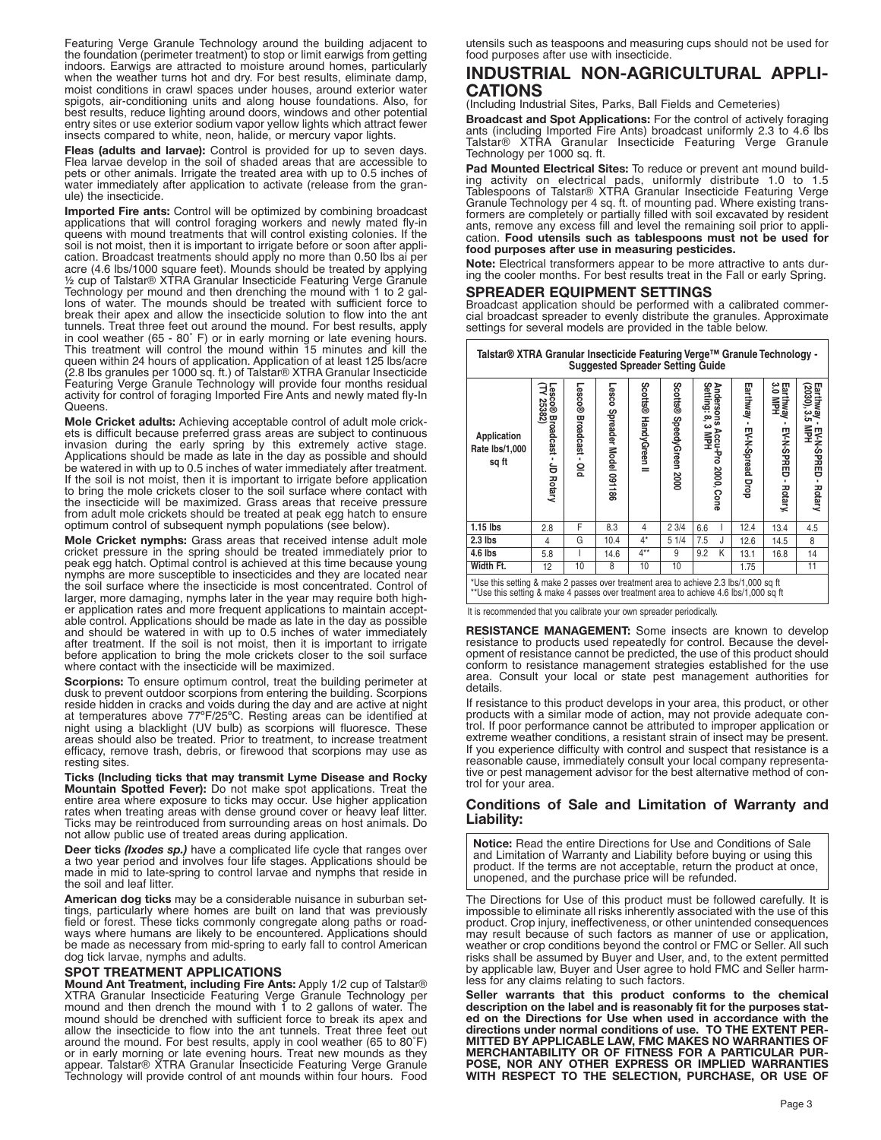Featuring Verge Granule Technology around the building adjacent to the foundation (perimeter treatment) to stop or limit earwigs from getting indoors. Earwigs are attracted to moisture around homes, particularly when the weather turns hot and dry. For best results, eliminate damp, moist conditions in crawl spaces under houses, around exterior water spigots, air-conditioning units and along house foundations. Also, for best results, reduce lighting around doors, windows and other potential entry sites or use exterior sodium vapor yellow lights which attract fewer insects compared to white, neon, halide, or mercury vapor lights.

**Fleas (adults and larvae):** Control is provided for up to seven days. Flea larvae develop in the soil of shaded areas that are accessible to pets or other animals. Irrigate the treated area with up to 0.5 inches of water immediately after application to activate (release from the granule) the insecticide.

**Imported Fire ants:** Control will be optimized by combining broadcast applications that will control foraging workers and newly mated fly-in queens with mound treatments that will control existing colonies. If the soil is not moist, then it is important to irrigate before or soon after application. Broadcast treatments should apply no more than 0.50 lbs ai per acre (4.6 lbs/1000 square feet). Mounds should be treated by applying ½ cup of Talstar® XTRA Granular Insecticide Featuring Verge Granule Technology per mound and then drenching the mound with 1 to 2 gallons of water. The mounds should be treated with sufficient force to break their apex and allow the insecticide solution to flow into the ant tunnels. Treat three feet out around the mound. For best results, apply in cool weather (65 - 80˚ F) or in early morning or late evening hours. This treatment will control the mound within 15 minutes and kill the queen within 24 hours of application. Application of at least 125 lbs/acre (2.8 lbs granules per 1000 sq. ft.) of Talstar® XTRA Granular Insecticide Featuring Verge Granule Technology will provide four months residual activity for control of foraging Imported Fire Ants and newly mated fly-In Queens.

**Mole Cricket adults:** Achieving acceptable control of adult mole crickets is difficult because preferred grass areas are subject to continuous invasion during the early spring by this extremely active stage. Applications should be made as late in the day as possible and should be watered in with up to 0.5 inches of water immediately after treatment. If the soil is not moist, then it is important to irrigate before application to bring the mole crickets closer to the soil surface where contact with the insecticide will be maximized. Grass areas that receive pressure from adult mole crickets should be treated at peak egg hatch to ensure optimum control of subsequent nymph populations (see below).

**Mole Cricket nymphs:** Grass areas that received intense adult mole cricket pressure in the spring should be treated immediately prior to peak egg hatch. Optimal control is achieved at this time because young nymphs are more susceptible to insecticides and they are located near the soil surface where the insecticide is most concentrated. Control of larger, more damaging, nymphs later in the year may require both higher application rates and more frequent applications to maintain acceptable control. Applications should be made as late in the day as possible and should be watered in with up to 0.5 inches of water immediately after treatment. If the soil is not moist, then it is important to irrigate before application to bring the mole crickets closer to the soil surface where contact with the insecticide will be maximized.

**Scorpions:** To ensure optimum control, treat the building perimeter at dusk to prevent outdoor scorpions from entering the building. Scorpions reside hidden in cracks and voids during the day and are active at night at temperatures above 77ºF/25ºC. Resting areas can be identified at night using a blacklight (UV bulb) as scorpions will fluoresce. These areas should also be treated. Prior to treatment, to increase treatment efficacy, remove trash, debris, or firewood that scorpions may use as resting sites.

**Ticks (Including ticks that may transmit Lyme Disease and Rocky Mountain Spotted Fever):** Do not make spot applications. Treat the entire area where exposure to ticks may occur. Use higher application rates when treating areas with dense ground cover or heavy leaf litter. Ticks may be reintroduced from surrounding areas on host animals. Do not allow public use of treated areas during application.

**Deer ticks** *(Ixodes sp.)* have a complicated life cycle that ranges over a two year period and involves four life stages. Applications should be made in mid to late-spring to control larvae and nymphs that reside in the soil and leaf litter.

**American dog ticks** may be a considerable nuisance in suburban settings, particularly where homes are built on land that was previously field or forest. These ticks commonly congregate along paths or roadways where humans are likely to be encountered. Applications should be made as necessary from mid-spring to early fall to control American dog tick larvae, nymphs and adults.

### **SPOT TREATMENT APPLICATIONS**

**Mound Ant Treatment, including Fire Ants:** Apply 1/2 cup of Talstar® XTRA Granular Insecticide Featuring Verge Granule Technology per mound and then drench the mound with 1 to 2 gallons of water. The mound should be drenched with sufficient force to break its apex and allow the insecticide to flow into the ant tunnels. Treat three feet out around the mound. For best results, apply in cool weather (65 to 80˚F) or in early morning or late evening hours. Treat new mounds as they appear. Talstar® XTRA Granular Insecticide Featuring Verge Granule Technology will provide control of ant mounds within four hours. Food utensils such as teaspoons and measuring cups should not be used for food purposes after use with insecticide.

## **INDUSTRIAL NON-AGRICULTURAL APPLI-CATIONS**

(Including Industrial Sites, Parks, Ball Fields and Cemeteries)

**Broadcast and Spot Applications:** For the control of actively foraging ants (including Imported Fire Ants) broadcast uniformly 2.3 to 4.6 lbs Talstar® XTRA Granular Insecticide Featuring Verge Granule Technology per 1000 sq. ft.

**Pad Mounted Electrical Sites:** To reduce or prevent ant mound building activity on electrical pads, uniformly distribute 1.0 to 1.5 Tablespoons of Talstar® XTRA Granular Insecticide Featuring Verge Granule Technology per 4 sq. ft. of mounting pad. Where existing transformers are completely or partially filled with soil excavated by resident ants, remove any excess fill and level the remaining soil prior to application. **Food utensils such as tablespoons must not be used for food purposes after use in measuring pesticides.**

**Note:** Electrical transformers appear to be more attractive to ants during the cooler months. For best results treat in the Fall or early Spring.

### **SPREADER EQUIPMENT SETTINGS**

Broadcast application should be performed with a calibrated commercial broadcast spreader to evenly distribute the granules. Approximate settings for several models are provided in the table below.

| Talstar® XTRA Granular Insecticide Featuring Verge™ Granule Technology -<br><b>Suggested Spreader Setting Guide</b> |                                           |                               |                                |                       |                          |                                                    |                             |                                              |                                                   |
|---------------------------------------------------------------------------------------------------------------------|-------------------------------------------|-------------------------------|--------------------------------|-----------------------|--------------------------|----------------------------------------------------|-----------------------------|----------------------------------------------|---------------------------------------------------|
| Application<br>Rate lbs/1,000<br>sq ft                                                                              | Lesco®<br>25382)<br>Broadcast - JD Rotary | <b>Lesco®</b> Broadcast - Old | Lesco<br>Spreader Model 091186 | Scotts® HandyGreen II | Scotts® SpeedyGreen 2000 | дndersons Accu-Pro 2000, Cone<br>Setting: 8, 3 MPH | Earthway - EV-N-Spread Drop | Earthway<br>3.0 MPH<br>EV-N-SPRED<br>Rotary, | Earthway - EV-N-SPRED - Rotary<br>(2030), 3.5 MPH |
| $1.15$ lbs                                                                                                          | 2.8                                       | F                             | 8.3                            | 4                     | 23/4                     | 6.6                                                | 12.4                        | 13.4                                         | 4.5                                               |
| $2.3$ lbs                                                                                                           | 4                                         | G                             | 10.4                           | $4^*$                 | 51/4                     | 7.5<br>J                                           | 12.6                        | 14.5                                         | 8                                                 |
| 4.6 lbs                                                                                                             | 5.8                                       |                               | 14.6                           | $4***$                | 9                        | K<br>9.2                                           | 13.1                        | 16.8                                         | 14                                                |
| Width Ft.                                                                                                           | 12                                        | 10                            | 8                              | 10                    | 10                       |                                                    | 1.75                        |                                              | 11                                                |
| *Use this setting & make 2 passes over treatment area to achieve 2.3 lbs/1,000 sq ft                                |                                           |                               |                                |                       |                          |                                                    |                             |                                              |                                                   |

\*Use this setting & make 2 passes over treatment area to achieve 2.3 lbs/1,000 sq ft \*\*Use this setting & make 4 passes over treatment area to achieve 4.6 lbs/1,000 sq ft

It is recommended that you calibrate your own spreader periodically.

**RESISTANCE MANAGEMENT:** Some insects are known to develop resistance to products used repeatedly for control. Because the development of resistance cannot be predicted, the use of this product should conform to resistance management strategies established for the use area. Consult your local or state pest management authorities for details.

If resistance to this product develops in your area, this product, or other products with a similar mode of action, may not provide adequate control. If poor performance cannot be attributed to improper application or extreme weather conditions, a resistant strain of insect may be present. If you experience difficulty with control and suspect that resistance is a reasonable cause, immediately consult your local company representative or pest management advisor for the best alternative method of control for your area.

### **Conditions of Sale and Limitation of Warranty and Liability:**

**Notice:** Read the entire Directions for Use and Conditions of Sale and Limitation of Warranty and Liability before buying or using this product. If the terms are not acceptable, return the product at once, unopened, and the purchase price will be refunded.

The Directions for Use of this product must be followed carefully. It is impossible to eliminate all risks inherently associated with the use of this product. Crop injury, ineffectiveness, or other unintended consequences may result because of such factors as manner of use or application, weather or crop conditions beyond the control or FMC or Seller. All such risks shall be assumed by Buyer and User, and, to the extent permitted by applicable law, Buyer and User agree to hold FMC and Seller harmless for any claims relating to such factors.

**Seller warrants that this product conforms to the chemical description on the label and is reasonably fit for the purposes stated on the Directions for Use when used in accordance with the directions under normal conditions of use. TO THE EXTENT PER-MITTED BY APPLICABLE LAW, FMC MAKES NO WARRANTIES OF MERCHANTABILITY OR OF FITNESS FOR A PARTICULAR PUR-POSE, NOR ANY OTHER EXPRESS OR IMPLIED WARRANTIES WITH RESPECT TO THE SELECTION, PURCHASE, OR USE OF**